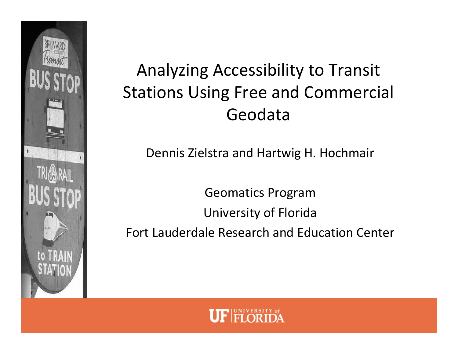

## Analyzing Accessibility to Transit Stations Using Free and Commercial Geodata

Dennis Zielstra and Hartwig H. Hochmair

Geomatics Program University of Florida Fort Lauderdale Research and Education Center

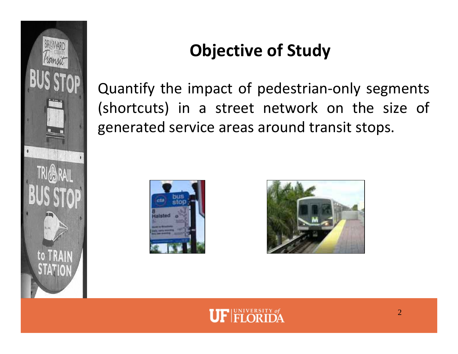

# **Objective of Study**

Quantify the impact of pedestrian‐only segments (shortcuts) in <sup>a</sup> street network on the size of generated service areas around transit stops.





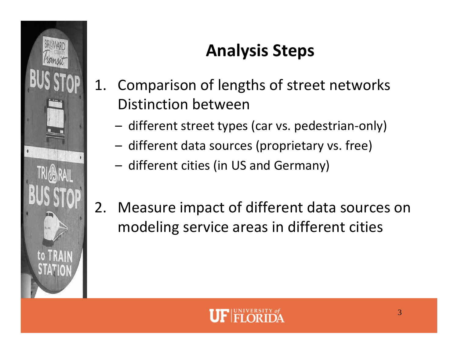

# **Analysis Steps**

- 1. Comparison of lengths of street networks Distinction between
	- –– different street types (car vs. pedestrian-only)
	- – $-$  different data sources (proprietary vs. free)
	- – $-$  different cities (in US and Germany)
- 2. Measure impact of different data sources on modeling service areas in different cities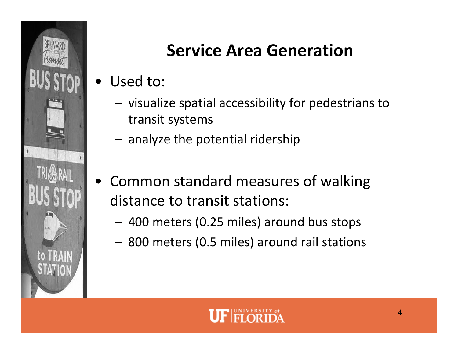

## **Service Area Generation**

- • Used to:
	- –– visualize spatial accessibility for pedestrians to transit systems
	- – $-$  analyze the potential ridership
- • Common standard measures of walking distance to transit stations:
	- 400 meters (0.25 miles) around bus stops
	- 800 meters (0.5 miles) around rail stations

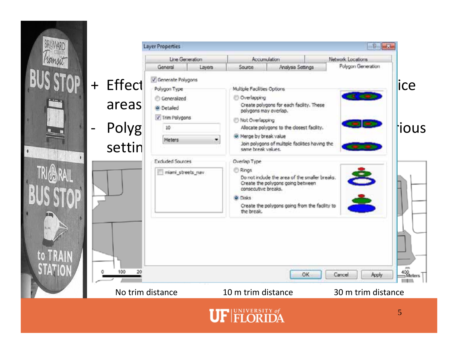

|           | <b>Layer Properties</b>                                   |                        |                                                                                      |                                                                                                                                      | $-\Omega$          | -R                             |  |  |
|-----------|-----------------------------------------------------------|------------------------|--------------------------------------------------------------------------------------|--------------------------------------------------------------------------------------------------------------------------------------|--------------------|--------------------------------|--|--|
|           |                                                           | <b>Line Generation</b> |                                                                                      | <b>Accumulation</b>                                                                                                                  | Network Locations  |                                |  |  |
|           | General                                                   | Layers                 | Source                                                                               | Analysis Settings                                                                                                                    | Polygon Generation |                                |  |  |
| + Effect  | Generate Polygons<br>Polygon Type<br><b>C</b> Generalized |                        | Overlapping                                                                          | Multiple Facilities Options                                                                                                          |                    |                                |  |  |
| areas     | <b>O</b> Detailed<br>Trim Polygons<br>10                  |                        | Create polygons for each facility. These<br>polygons may overlap.<br>Not Overlapping |                                                                                                                                      |                    |                                |  |  |
| Polyg     |                                                           |                        | <sup>®</sup> Merge by break value                                                    | Allocate polygons to the closest facility.                                                                                           |                    | ious                           |  |  |
| settin    | Meters                                                    |                        | same break values.                                                                   | Join polygons of multiple facilities having the                                                                                      |                    |                                |  |  |
|           | <b>Excluded Sources</b>                                   |                        | Overlap Type                                                                         |                                                                                                                                      |                    |                                |  |  |
|           | miani_streets_nav                                         |                        | <b>E</b> Rings<br>consecutive breaks.<br>O Disks<br>the break.                       | Do not indude the area of the smaller breaks.<br>Create the polygons going between<br>Create the polygons going from the facility to | È                  |                                |  |  |
| 100<br>20 |                                                           |                        |                                                                                      | OK                                                                                                                                   | Cancel<br>Apply    | <b>ANTIS</b><br>400<br>⇒Meters |  |  |
|           |                                                           |                        |                                                                                      |                                                                                                                                      |                    |                                |  |  |
|           | No trim distance                                          |                        | 10 m trim distance                                                                   |                                                                                                                                      | 30 m trim distance |                                |  |  |

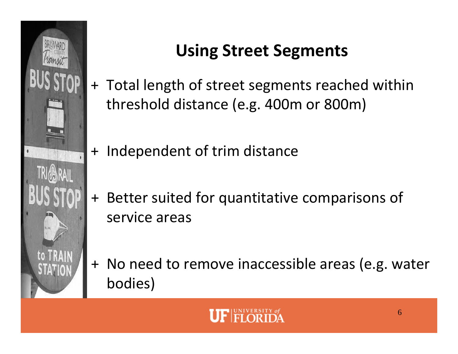

# **Using Street Segments**

- + Total length of street segments reached within threshold distance (e.g. 400m or 800m)
- + Independent of trim distance
- + Better suited for quantitative comparisons of service areas
- + No need to remove inaccessible areas (e.g. water bodies)

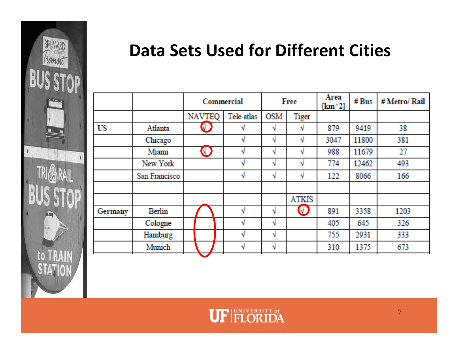

#### **Data Sets Used for Different Cities**

|           |                | <b>Commercial</b> |            | Free       |              | Area<br>$[\text{km}^{\wedge}2]$ | # Bus | # Metro/ Rail |
|-----------|----------------|-------------------|------------|------------|--------------|---------------------------------|-------|---------------|
|           |                | <b>NAVTEQ</b>     | Tele atlas | <b>OSM</b> | <b>Tiger</b> |                                 |       |               |
| <b>US</b> | <b>Atlanta</b> | J                 |            | N          | N            | 879                             | 9419  | 38            |
|           | Chicago        |                   | v          | N          | N            | 3047                            | 11800 | 381           |
|           | Miami          | $\bigcirc$        | N          | N          | N            | 988                             | 11679 | 27            |
|           | New York       |                   | v          | N          | N            | 774                             | 12462 | 493           |
|           | San Francisco  |                   | N          | N          | N            | 122                             | 8066  | 166           |
|           |                |                   |            |            | <b>ATKIS</b> |                                 |       |               |
| Germany   | <b>Berlin</b>  |                   | v          | N          | $\bigcirc$   | 891                             | 3358  | 1203          |
|           | Cologne        |                   | v          | N          |              | 405                             | 645   | 326           |
|           | Hamburg        |                   | v          | N          |              | 755                             | 2931  | 333           |
|           | <b>Munich</b>  |                   | N          | N          |              | 310                             | 1375  | 673           |

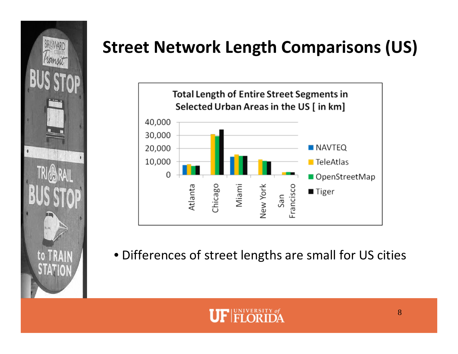

# **Street Network Length Comparisons (US)**



• Differences of street lengths are small for US cities

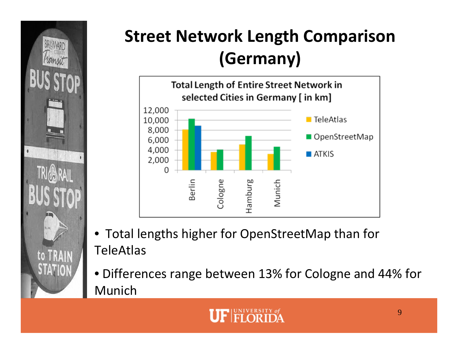

# **Street Network Length Comparison (Germany)**



- Total lengths higher for OpenStreetMap than for TeleAtlas
- Differences range between 13% for Cologne and 44% for Munich

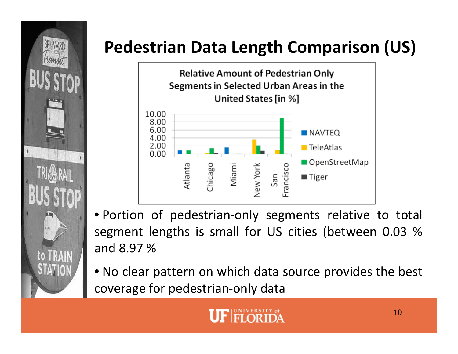

# **Pedestrian Data Length Comparison (US)**



• Portion of pedestrian‐only segments relative to total segment lengths is small for US cities (between 0.03 % and 8.97 %

• No clear pattern on which data source provides the best coverage for pedestrian‐only data

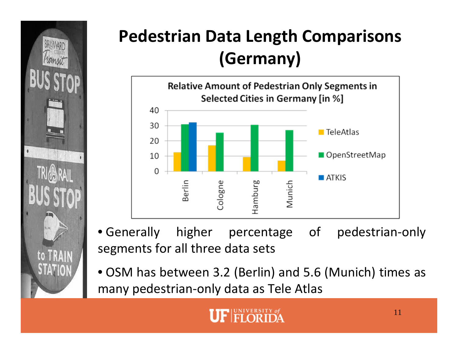

## **Pedestrian Data Length Comparisons (Germany)**



- Generally higher percentage of pedestrian‐only segments for all three data sets
- OSM has between 3.2 (Berlin) and 5.6 (Munich) times as many pedestrian‐only data as Tele Atlas

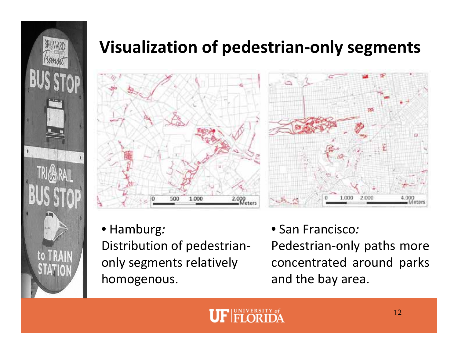

#### **Visualization of pedestrian‐only segments**



• Hamburg*:* Distribution of pedestrian‐ only segments relatively homogenous.



• San Francisco*:*

Pedestrian‐only paths more concentrated around parks and the bay area.

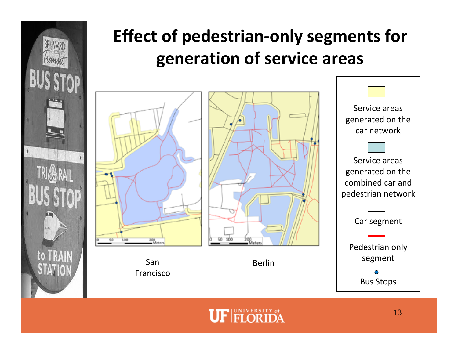

## **Effect of pedestrian‐only segments for generation of service areas**



SanFrancisco



Berlin

Service areas generated on the car network Service areas generated on the combined car and



pedestrian network

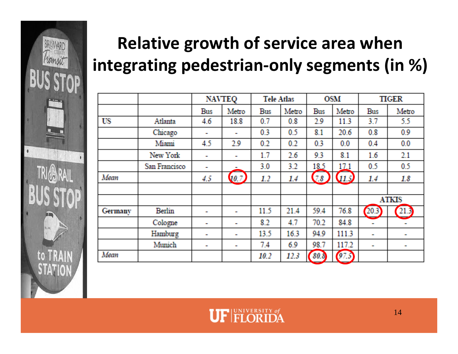

# **Relative growth of service area when integrating pedestrian‐only segments (in %)**

|                |               | <b>NAVTEQ</b> |              | <b>Tele Atlas</b> |       | <b>OSM</b> |        | <b>TIGER</b> |        |
|----------------|---------------|---------------|--------------|-------------------|-------|------------|--------|--------------|--------|
|                |               | Bus           | Metro        | <b>Bus</b>        | Metro | <b>Bus</b> | Metro  | <b>Bus</b>   | Metro  |
| US             | Atlanta       | 4.6           | 18.8         | 0.7               | 0.8   | 2.9        | 11.3   | 3.7          | 55     |
|                | Chicago       |               |              | 0.3               | 0.5   | 8.1        | 20.6   | 0.8          | 0.9    |
|                | Miami         | 45            | 2.9          | 0.2               | 0.2   | 0.3        | 0.0    | 0.4          | 0.0    |
|                | New York      |               |              | 1.7               | 2.6   | 9.3        | 8.1    | 1.6          | 2.1    |
|                | San Francisco | m.            |              | 3.0               | 3.2   | 18.5       | 17.1   | 0.5          | 0.5    |
| Mean           |               | 4.5           | $\sqrt{0.7}$ | 12                | 14    | 78         | (11.5) | 1.4          | 18     |
|                |               |               |              |                   |       |            |        |              |        |
|                |               |               |              |                   |       |            |        | <b>ATKIS</b> |        |
| <b>Germany</b> | <b>Berlin</b> |               |              | 11.5              | 21.4  | 59.4       | 76.8   | 203          | (21.3) |
|                | Cologne       |               |              | 8.2               | 4.7   | 70.2       | 84.8   |              |        |
|                | Hamburg       | m.            | ш.           | 13.5              | 16.3  | 94.9       | 1113   |              | a.     |
|                | Munich        | m.            | ц.           | 7.4               | 6.9   | 98.7       | 117.2  |              | and i  |
| Mean           |               |               |              | 10.2              | 12.3  | 80.8       | 97.5   |              |        |

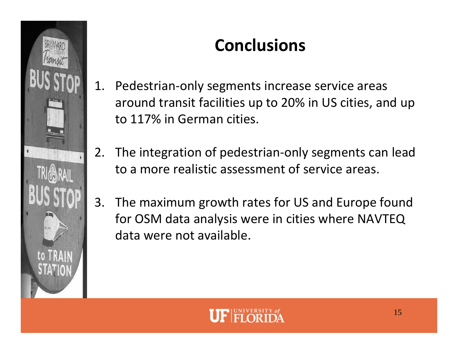

## **Conclusions**

- 1. Pedestrian‐only segments increase service areas around transit facilities up to 20% in US cities, and up to 117% in German cities.
- 2. The integration of pedestrian‐only segments can lead to <sup>a</sup> more realistic assessment of service areas.
- 3. The maximum growth rates for US and Europe found for OSM data analysis were in cities where NAVTEQ data were not available.

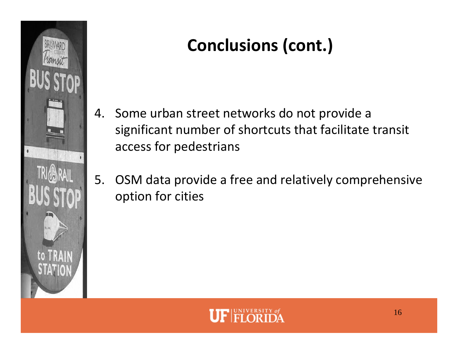

# **Conclusions (cont.)**

- 4. Some urban street networks do not provide <sup>a</sup> significant number of shortcuts that facilitate transit access for pedestrians
- 5. OSM data provide <sup>a</sup> free and relatively comprehensive option for cities

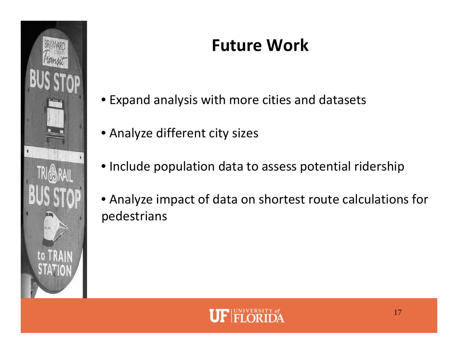

## **Future Work**

- Expand analysis with more cities and datasets
- Analyze different city sizes
- Include population data to assess potential ridership
- Analyze impact of data on shortest route calculations for pedestrians